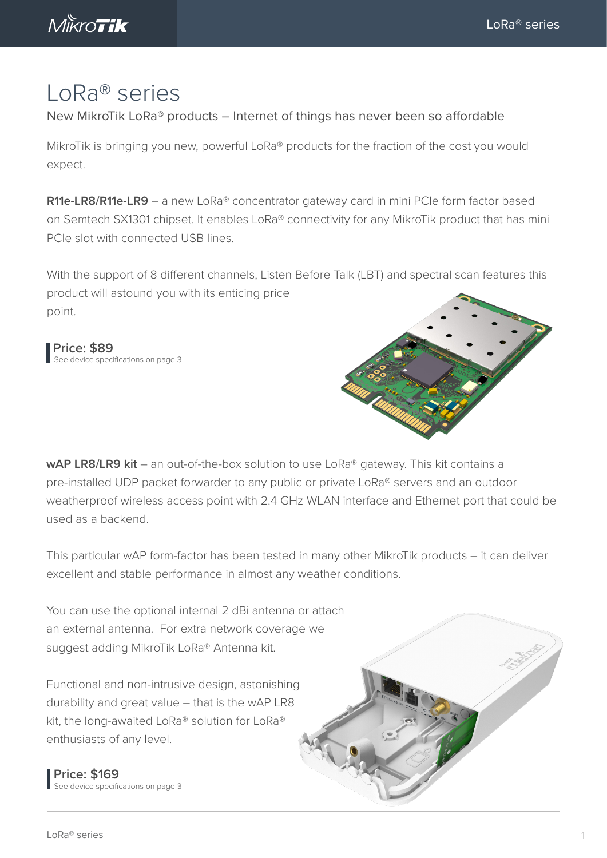Mikro**Tik** 

## LoRa® series

New MikroTik LoRa® products – Internet of things has never been so affordable

MikroTik is bringing you new, powerful LoRa® products for the fraction of the cost you would expect.

**R11e-LR8/R11e-LR9** – a new LoRa® concentrator gateway card in mini PCIe form factor based on Semtech SX1301 chipset. It enables LoRa® connectivity for any MikroTik product that has mini PCIe slot with connected USB lines.

With the support of 8 different channels, Listen Before Talk (LBT) and spectral scan features this product will astound you with its enticing price point.

**Price: \$89** See device specifications on page 3



wAP LR8/LR9 kit - an out-of-the-box solution to use LoRa<sup>®</sup> gateway. This kit contains a pre-installed UDP packet forwarder to any public or private LoRa® servers and an outdoor weatherproof wireless access point with 2.4 GHz WLAN interface and Ethernet port that could be used as a backend.

This particular wAP form-factor has been tested in many other MikroTik products – it can deliver excellent and stable performance in almost any weather conditions.

You can use the optional internal 2 dBi antenna or attach an external antenna. For extra network coverage we suggest adding MikroTik LoRa® Antenna kit.

Functional and non-intrusive design, astonishing durability and great value – that is the wAP LR8 kit, the long-awaited LoRa® solution for LoRa® enthusiasts of any level.

**Price: \$169** See device specifications on page 3

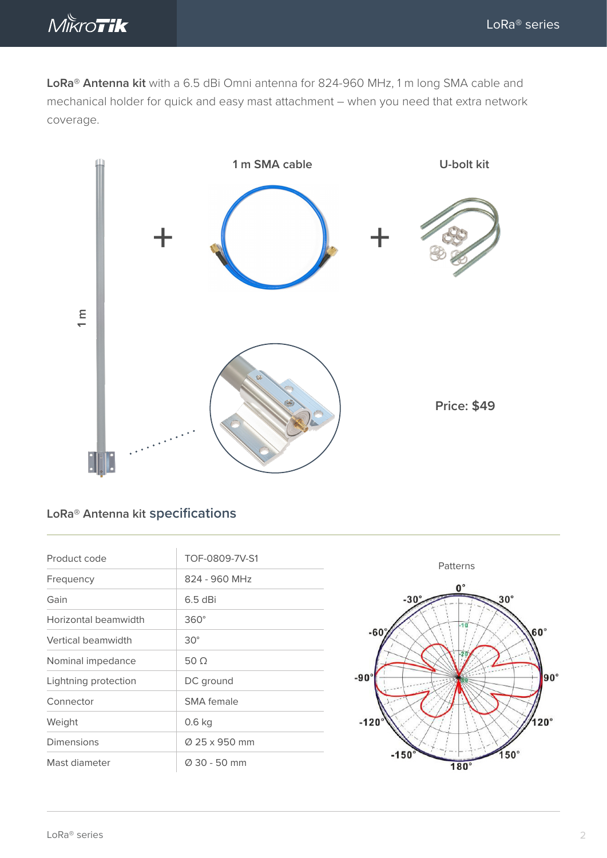

**LoRa® Antenna kit** with a 6.5 dBi Omni antenna for 824-960 MHz, 1 m long SMA cable and mechanical holder for quick and easy mast attachment – when you need that extra network coverage.



## **LoRa® Antenna kit specifications**

| Product code         | TOF-0809-7V-S1    |
|----------------------|-------------------|
| Frequency            | 824 - 960 MHz     |
| Gain                 | $6.5$ dBi         |
| Horizontal beamwidth | $360^\circ$       |
| Vertical beamwidth   | $30^\circ$        |
| Nominal impedance    | 50 $\Omega$       |
| Lightning protection | DC ground         |
| Connector            | <b>SMA</b> female |
| Weight               | 0.6 kg            |
| Dimensions           | Ø 25 x 950 mm     |
| Mast diameter        | Ø 30 - 50 mm      |

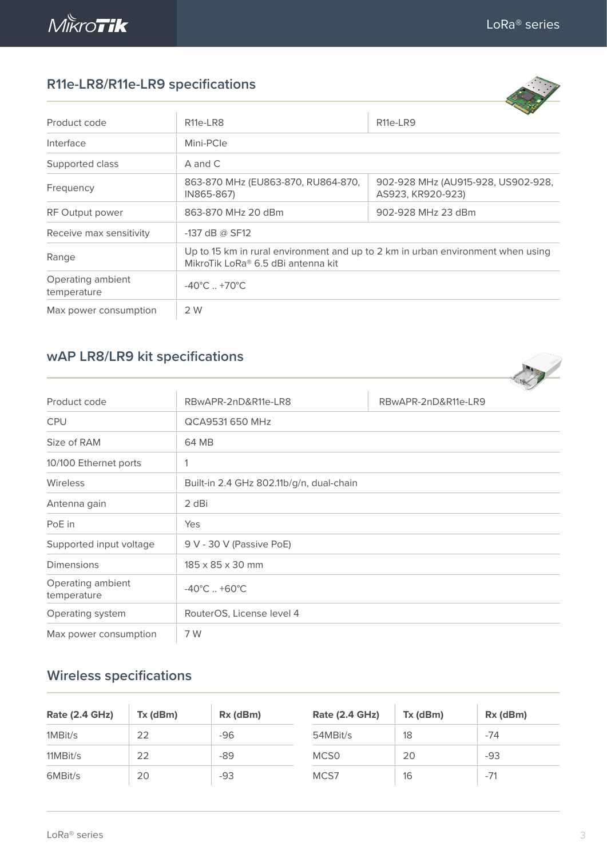

Operating ambient

**Contract Contract Contract Contract Contract Contract Contract Contract Contract Contract Contract Contract Contract Contract Contract Contract Contract Contract Contract Contract Contract Contract Contract Contract Contr** 

France

## **R11e-LR8/R11e-LR9 specifications**

| $11112$ EINO/INTIC EINS SPECIFICANOIS |                                                                                                                       |                                                         |  |  |
|---------------------------------------|-----------------------------------------------------------------------------------------------------------------------|---------------------------------------------------------|--|--|
| Product code                          | R <sub>11e</sub> -LR <sub>8</sub>                                                                                     | R <sub>11e</sub> -LR <sub>9</sub>                       |  |  |
| Interface                             | Mini-PCle                                                                                                             |                                                         |  |  |
| Supported class                       | A and C                                                                                                               |                                                         |  |  |
| Frequency                             | 863-870 MHz (EU863-870, RU864-870,<br>IN865-867)                                                                      | 902-928 MHz (AU915-928, US902-928,<br>AS923, KR920-923) |  |  |
| RF Output power                       | 863-870 MHz 20 dBm                                                                                                    | 902-928 MHz 23 dBm                                      |  |  |
| Receive max sensitivity               | $-137$ dB @ SF12                                                                                                      |                                                         |  |  |
| Range                                 | Up to 15 km in rural environment and up to 2 km in urban environment when using<br>MikroTik LoRa® 6.5 dBi antenna kit |                                                         |  |  |

| <b>wAP LR8/LR9 kit specifications</b> |  |  |  |  |
|---------------------------------------|--|--|--|--|
|---------------------------------------|--|--|--|--|

Operating ambient<br>temperature  $-40^{\circ}$ C ... +70°C

Max power consumption 2 W

|                                  |                                          | <b>CONTRACTOR</b>   |
|----------------------------------|------------------------------------------|---------------------|
| Product code                     | RBwAPR-2nD&R11e-LR8                      | RBwAPR-2nD&R11e-LR9 |
| <b>CPU</b>                       | QCA9531 650 MHz                          |                     |
| Size of RAM                      | 64 MB                                    |                     |
| 10/100 Ethernet ports            | 1                                        |                     |
| Wireless                         | Built-in 2.4 GHz 802.11b/g/n, dual-chain |                     |
| Antenna gain                     | 2 dBi                                    |                     |
| PoE in                           | Yes                                      |                     |
| Supported input voltage          | 9 V - 30 V (Passive PoE)                 |                     |
| <b>Dimensions</b>                | $185 \times 85 \times 30$ mm             |                     |
| Operating ambient<br>temperature | $-40^{\circ}$ C +60 $^{\circ}$ C         |                     |
| Operating system                 | RouterOS, License level 4                |                     |
| Max power consumption            | 7 W                                      |                     |

## **Wireless specifications**

| <b>Rate (2.4 GHz)</b> | $Tx$ ( $dBm$ ) | Rx (dBm) | <b>Rate (2.4 GHz)</b> | Tx (dBm) | $Rx$ (dBm) |
|-----------------------|----------------|----------|-----------------------|----------|------------|
| 1MBit/s               | 22             | -96      | 54MBit/s              | 18       | $-74$      |
| $11MB$ it/s           | 22             | -89      | MCS <sub>0</sub>      | 20       | -93        |
| 6MBit/s               | 20             | -93      | MCS7                  | 16       | $-71$      |